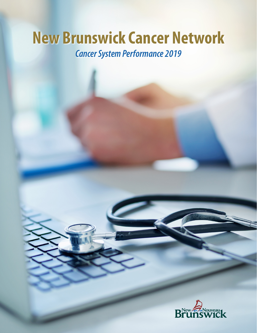# **New Brunswick Cancer Network** *Cancer System Performance 2019*

HA

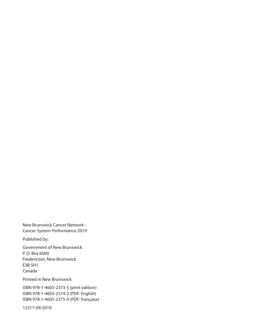New Brunswick Cancer Network - Cancer System Performance 2019

Published by:

Government of New Brunswick P. O. Box 6000 Fredericton, New Brunswick E3B 5H1 Canada

Printed in New Brunswick

ISBN 978-1-4605-2373-5 (print edition) ISBN 978-1-4605-2374-2 (PDF: English) ISBN 978-1-4605-2375-9 (PDF: française)

12317-09-2019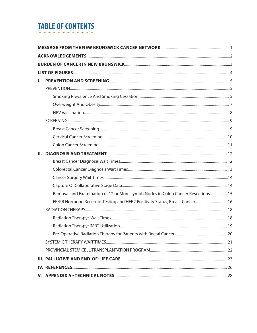## **TABLE OF CONTENTS**

| L. |                                                                                 |  |  |  |  |
|----|---------------------------------------------------------------------------------|--|--|--|--|
|    |                                                                                 |  |  |  |  |
|    |                                                                                 |  |  |  |  |
|    |                                                                                 |  |  |  |  |
|    |                                                                                 |  |  |  |  |
|    |                                                                                 |  |  |  |  |
|    |                                                                                 |  |  |  |  |
|    |                                                                                 |  |  |  |  |
|    |                                                                                 |  |  |  |  |
| Н. |                                                                                 |  |  |  |  |
|    |                                                                                 |  |  |  |  |
|    |                                                                                 |  |  |  |  |
|    |                                                                                 |  |  |  |  |
|    |                                                                                 |  |  |  |  |
|    | Removal and Examination of 12 or More Lymph Nodes in Colon Cancer Resections 15 |  |  |  |  |
|    | ER/PR Hormone Receptor Testing and HER2 Positivity Status, Breast Cancer 16     |  |  |  |  |
|    |                                                                                 |  |  |  |  |
|    |                                                                                 |  |  |  |  |
|    |                                                                                 |  |  |  |  |
|    |                                                                                 |  |  |  |  |
|    |                                                                                 |  |  |  |  |
|    |                                                                                 |  |  |  |  |
|    |                                                                                 |  |  |  |  |
|    |                                                                                 |  |  |  |  |
|    |                                                                                 |  |  |  |  |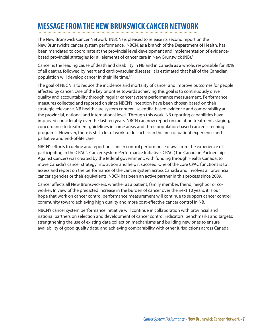## **MESSAGE FROM THE NEWBRUNSWICK CANCER NETWORK**

The New Brunswick Cancer Network (NBCN) is pleased to release its second report on the New Brunswick's cancer system performance. NBCN, as a branch of the Department of Health, has been mandated to coordinate at the provincial level development and implementation of evidencebased provincial strategies for all elements of cancer care in New Brunswick (NB).<sup>1</sup>

Cancer is the leading cause of death and disability in NB and in Canada as a whole, responsible for 30% of all deaths, followed by heart and cardiovascular diseases. It is estimated that half of the Canadian population will develop cancer in their life time.<sup>2,3</sup>

The goal of NBCN is to reduce the incidence and mortality of cancer and improve outcomes for people affected by cancer. One of the key priorities towards achieving this goal is to continuously drive quality and accountability through regular cancer system performance measurement. Performance measures collected and reported on since NBCN's inception have been chosen based on their strategic relevance, NB health care system context, scientific-based evidence and comparability at the provincial, national and international level. Through this work, NB reporting capabilities have improved considerably over the last ten years. NBCN can now report on radiation treatment, staging, concordance to treatment guidelines in some areas and three population-based cancer screening programs. However, there is still a lot of work to do such as in the area of patient experience and palliative and end-of-life care.

NBCN's efforts to define and report on cancer control performance draws from the experience of participating in the CPAC's Cancer System Performance Initiative. CPAC (The Canadian Partnership Against Cancer) was created by the federal government, with funding through Health Canada, to move Canada's cancer strategy into action and help it succeed. One of the core CPAC functions is to assess and report on the performance of the cancer system across Canada and involves all provincial cancer agencies or their equivalents. NBCN has been an active partner in this process since 2009.

Cancer affects all New Brunswickers, whether as a patient, family member, friend, neighbor or coworker. In view of the predicted increase in the burden of cancer over the next 10 years, it is our hope that work on cancer control performance measurement will continue to support cancer control community toward achieving high quality and more cost-effective cancer control in NB.

NBCN's cancer system performance initiative will continue in collaboration with provincial and national partners on selection and development of cancer control indicators, benchmarks and targets; strengthening the use of existing data collection mechanisms and building new ones to ensure availability of good quality data; and achieving comparability with other jurisdictions across Canada.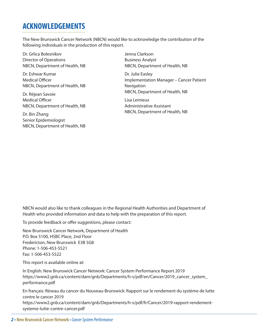## **ACKNOWLEDGEMENTS**

The New Brunswick Cancer Network (NBCN) would like to acknowledge the contribution of the following individuals in the production of this report.

Dr. Grlica Bolesnikov Director of Operations NBCN, Department of Health, NB

Dr. Eshwar Kumar Medical Officer NBCN, Department of Health, NB

Dr. Réjean Savoie Medical Officer NBCN, Department of Health, NB

Dr. Bin Zhang Senior Epidemiologist NBCN, Department of Health, NB Jenna Clarkson Business Analyst NBCN, Department of Health, NB

Dr. Julie Easley Implementation Manager – Cancer Patient **Navigation** NBCN, Department of Health, NB

Lisa Lemieux Administrative Assistant NBCN, Department of Health, NB

NBCN would also like to thank colleagues in the Regional Health Authorities and Department of Health who provided information and data to help with the preparation of this report.

To provide feedback or offer suggestions, please contact:

New Brunswick Cancer Network, Department of Health P.O. Box 5100, HSBC Place, 2nd Floor Fredericton, New Brunswick E3B 5G8 Phone: 1-506-453-5521 Fax: 1-506-453-5522

This report is available online at:

In English: New Brunswick Cancer Network: Cancer System Performance Report 2019 https://www2.gnb.ca/content/dam/gnb/Departments/h-s/pdf/en/Cancer/2019\_cancer\_system\_ performance.pdf

En français: Réseau du cancer du Nouveau-Brunswick: Rapport sur le rendement du système de lutte contre le cancer 2019

https://www2.gnb.ca/content/dam/gnb/Departments/h-s/pdf/fr/Cancer/2019-rapport-rendementsysteme-lutte-contre-cancer.pdf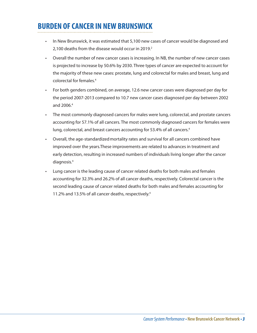## **BURDEN OF CANCER IN NEW BRUNSWICK**

- In New Brunswick, it was estimated that 5,100 new cases of cancer would be diagnosed and 2,100 deaths from the disease would occur in 2019.<sup>2</sup>
- Overall the number of new cancer cases is increasing. In NB, the number of new cancer cases is projected to increase by 50.6% by 2030. Three types of cancer are expected to account for the majority of these new cases: prostate, lung and colorectal for males and breast, lung and colorectal for females.4
- For both genders combined, on average, 12.6 new cancer cases were diagnosed per day for the period 2007-2013 compared to 10.7 new cancer cases diagnosed per day between 2002 and 2006.4
- The most commonly diagnosed cancers for males were lung, colorectal, and prostate cancers accounting for 57.1% of all cancers. The most commonly diagnosed cancers for females were lung, colorectal, and breast cancers accounting for 53.4% of all cancers.<sup>4</sup>
- Overall, the age-standardizedmortality rates and survival for all cancers combined have improved over the years.These improvements are related to advances in treatment and early detection, resulting in increased numbers of individuals living longer after the cancer diagnosis.4
- Lung cancer is the leading cause of cancer related deaths for both males and females accounting for 32.3% and 26.2% of all cancer deaths, respectively. Colorectal cancer is the second leading cause of cancer related deaths for both males and females accounting for 11.2% and 13.5% of all cancer deaths, respectively.4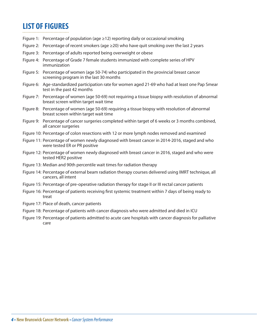## **LIST OF FIGURES**

- Figure 1: Percentage of population (age  $\geq$  12) reporting daily or occasional smoking
- Figure 2: Percentage of recent smokers (age  $\geq$  20) who have quit smoking over the last 2 years
- Figure 3: Percentage of adults reported being overweight or obese
- Figure 4: Percentage of Grade 7 female students immunized with complete series of HPV immunization
- Figure 5: Percentage of women (age 50-74) who participated in the provincial breast cancer screening program in the last 30 months
- Figure 6: Age-standardized participation rate for women aged 21-69 who had at least one Pap Smear test in the past 42 months
- Figure 7: Percentage of women (age 50-69) not requiring a tissue biopsy with resolution of abnormal breast screen within target wait time
- Figure 8: Percentage of women (age 50-69) requiring a tissue biopsy with resolution of abnormal breast screen within target wait time
- Figure 9: Percentage of cancer surgeries completed within target of 6 weeks or 3 months combined, all cancer surgeries
- Figure 10: Percentage of colon resections with 12 or more lymph nodes removed and examined
- Figure 11: Percentage of women newly diagnosed with breast cancer in 2014-2016, staged and who were tested ER or PR positive
- Figure 12: Percentage of women newly diagnosed with breast cancer in 2016, staged and who were tested HER2 positive
- Figure 13: Median and 90th percentile wait times for radiation therapy
- Figure 14: Percentage of external beam radiation therapy courses delivered using IMRT technique, all cancers, all intent
- Figure 15: Percentage of pre-operative radiation therapy for stage II or III rectal cancer patients
- Figure 16: Percentage of patients receiving first systemic treatment within 7 days of being ready to treat
- Figure 17: Place of death, cancer patients
- Figure 18: Percentage of patients with cancer diagnosis who were admitted and died in ICU
- Figure 19: Percentage of patients admitted to acute care hospitals with cancer diagnosis for palliative care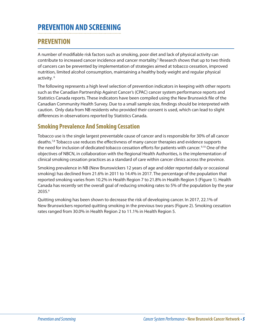## **PREVENTION AND SCREENING**

### **PREVENTION**

A number of modifiable risk factors such as smoking, poor diet and lack of physical activity can contribute to increased cancer incidence and cancer mortality.<sup>5</sup> Research shows that up to two thirds of cancers can be prevented by implementation of strategies aimed at tobacco cessation, improved nutrition, limited alcohol consumption, maintaining a healthy body weight and regular physical activity. 6

The following represents a high level selection of prevention indicators in keeping with other reports such as the Canadian Partnership Against Cancer's (CPAC) cancer system performance reports and Statistics Canada reports. These indicators have been compiled using the New Brunswick file of the Canadian Community Health Survey. Due to a small sample size, findings should be interpreted with caution. Only data from NB residents who provided their consent is used, which can lead to slight differences in observations reported by Statistics Canada.

#### **Smoking Prevalence And Smoking Cessation**

Tobacco use is the single largest preventable cause of cancer and is responsible for 30% of all cancer deaths.<sup>7,8</sup> Tobacco use reduces the effectivness of many cancer therapies and evidence supports the need for inclusion of dedicated tobacco cessation efforts for patients with cancer.<sup>9,10</sup> One of the objectives of NBCN, in collaboration with the Regional Health Authorities, is the implementation of clinical smoking cessation practices as a standard of care within cancer clinics across the province.

Smoking prevalence in NB (New Brunswickers 12 years of age and older reported daily or occasional smoking) has declined from 21.6% in 2011 to 14.4% in 2017. The percentage of the population that reported smoking varies from 10.2% in Health Region 7 to 21.8% in Health Region 5 (Figure 1). Health Canada has recently set the overall goal of reducing smoking rates to 5% of the population by the year 2035.6

Quitting smoking has been shown to decrease the risk of developing cancer. In 2017, 22.1% of New Brunswickers reported quitting smoking in the previous two years (Figure 2). Smoking cessation rates ranged from 30.0% in Health Region 2 to 11.1% in Health Region 5.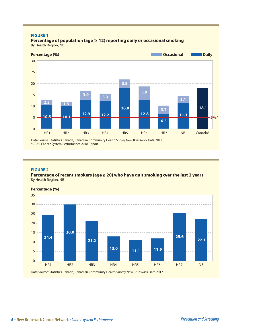#### **FIGURE 1**

**Percentage of population (age**  $\geq$  **12) reporting daily or occasional smoking** By Health Region, NB



Data Source: Statistics Canada, Canadian Community Health Survey New Brunswick Data 2017 \*CPAC Cancer System Performance 2018 Report

#### **FIGURE 2**

**Percentage of recent smokers (age ≥ 20) who have quit smoking over the last 2 years** By Health Region, NB

#### **Percentage (%)**

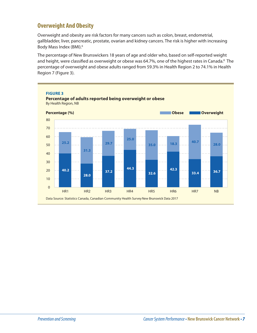### **Overweight And Obesity**

Overweight and obesity are risk factors for many cancers such as colon, breast, endometrial, gallbladder, liver, pancreatic, prostate, ovarian and kidney cancers. The risk is higher with increasing Body Mass Index (BMI).<sup>6</sup>

The percentage of New Brunswickers 18 years of age and older who, based on self-reported weight and height, were classified as overweight or obese was 64.7%, one of the highest rates in Canada.<sup>8</sup> The percentage of overweight and obese adults ranged from 59.3% in Health Region 2 to 74.1% in Health Region 7 (Figure 3).

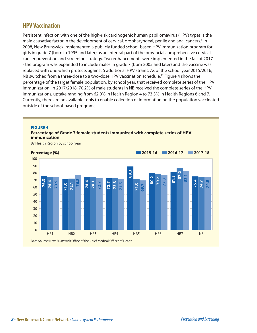#### **HPV Vaccination**

Persistent infection with one of the high-risk carcinogenic human papillomavirus (HPV) types is the main causative factor in the development of cervical, oropharyngeal, penile and anal cancers.<sup>8</sup> In 2008, New Brunswick implemented a publicly funded school-based HPV immunization program for girls in grade 7 (born in 1995 and later) as an integral part of the provincial comprehensive cervical cancer prevention and screening strategy. Two enhancements were implemented in the fall of 2017 - the program was expanded to include males in grade 7 (born 2005 and later) and the vaccine was replaced with one which protects against 5 additional HPV strains. As of the school year 2015/2016, NB switched from a three-dose to a two-dose HPV vaccination schedule.11 Figure 4 shows the percentage of the target female population, by school year, that received complete series of the HPV immunization. In 2017/2018, 70.2% of male students in NB received the complete series of the HPV immunizations, uptake ranging from 62.0% in Health Region 4 to 73.3% in Health Regions 6 and 7. Currently, there are no available tools to enable collection of information on the population vaccinated outside of the school-based programs.

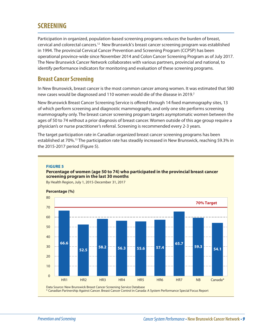### **SCREENING**

Participation in organized, population-based screening programs reduces the burden of breast, cervical and colorectal cancers.12 New Brunswick's breast cancer screening program was established in 1994. The provincial Cervical Cancer Prevention and Screening Program (CCPSP) has been operational province-wide since November 2014 and Colon Cancer Screening Program as of July 2017. The New Brunswick Cancer Network collaborates with various partners, provincial and national, to identify performance indicators for monitoring and evaluation of these screening programs.

#### **Breast Cancer Screening**

In New Brunswick, breast cancer is the most common cancer among women. It was estimated that 580 new cases would be diagnosed and 110 women would die of the disease in 2019.<sup>2</sup>

New Brunswick Breast Cancer Screening Service is offered through 14 fixed mammography sites, 13 of which perform screening and diagnostic mammography, and only one site performs screening mammography only. The breast cancer screening program targets asymptomatic women between the ages of 50 to 74 without a prior diagnosis of breast cancer. Women outside of this age group require a physician's or nurse practitioner's referral. Screening is recommended every 2-3 years.

The target participation rate in Canadian organized breast cancer screening programs has been established at 70%.13 The participation rate has steadily increased in New Brunswick, reaching 59.3% in the 2015-2017 period (Figure 5).

#### **FIGURE 5**

#### **Percentage of women (age 50 to 74) who participated in the provincial breast cancer screening program in the last 30 months**



By Health Region, July 1, 2015-December 31, 2017

Data Source: New Brunswick Breast Cancer Screening Service Database

\* Canadian Partnership Against Cancer. Breast Cancer Control in Canada: A System Performance Special Focus Report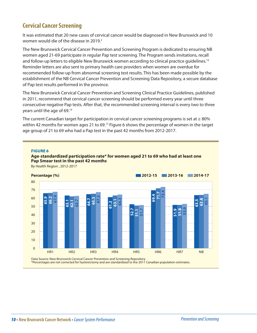### **Cervical Cancer Screening**

It was estimated that 20 new cases of cervical cancer would be diagnosed in New Brunswick and 10 women would die of the disease in 2019. $2$ 

The New Brunswick Cervical Cancer Prevention and Screening Program is dedicated to ensuring NB women aged 21-69 participate in regular Pap test screening. The Program sends invitations, recall and follow-up letters to eligible New Brunswick women according to clinical practice guidelines.<sup>14</sup> Reminder letters are also sent to primary health care providers when women are overdue for recommended follow-up from abnormal screening test results. This has been made possible by the establishment of the NB Cervical Cancer Prevention and Screening Data Repository, a secure database of Pap test results performed in the province.

The New Brunswick Cervical Cancer Prevention and Screening Clinical Practice Guidelines, published in 2011, recommend that cervical cancer screening should be performed every year until three consecutive negative Pap tests. After that, the recommended screening interval is every two to three years until the age of 69.14

The current Canadian target for participation in cervical cancer screening programs is set at  $\geq 80\%$ within 42 months for women ages 21 to 69.<sup>13</sup> Figure 6 shows the percentage of women in the target age group of 21 to 69 who had a Pap test in the past 42 months from 2012-2017.

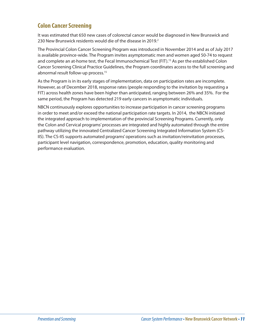### **Colon Cancer Screening**

It was estimated that 650 new cases of colorectal cancer would be diagnosed in New Brunswick and 230 New Brunswick residents would die of the disease in 2019. $2$ 

The Provincial Colon Cancer Screening Program was introduced in November 2014 and as of July 2017 is available province-wide. The Program invites asymptomatic men and women aged 50-74 to request and complete an at-home test, the Fecal Immunochemical Test (FIT).<sup>15</sup> As per the established Colon Cancer Screening Clinical Practice Guidelines, the Program coordinates access to the full screening and abnormal result follow-up process.<sup>15</sup>

As the Program is in its early stages of implementation, data on participation rates are incomplete. However, as of December 2018, response rates (people responding to the invitation by requesting a FIT) across health zones have been higher than anticipated, ranging between 26% and 35%. For the same period, the Program has detected 219 early cancers in asymptomatic individuals.

NBCN continuously explores opportunities to increase participation in cancer screening programs in order to meet and/or exceed the national participation rate targets. In 2014, the NBCN initiated the integrated approach to implementation of the provincial Screening Programs. Currently, only the Colon and Cervical programs' processes are integrated and highly automated through the entire pathway utilizing the innovated Centralized Cancer Screening Integrated Information System (CS-IIS). The CS-IIS supports automated programs' operations such as invitation/reinvitation processes, participant level navigation, correspondence, promotion, education, quality monitoring and performance evaluation.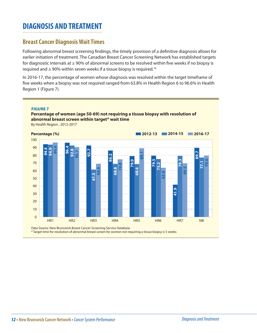### **DIAGNOSIS AND TREATMENT**

### **Breast Cancer Diagnosis Wait Times**

Following abnormal breast screening findings, the timely provision of a definitive diagnosis allows for earlier initiation of treatment. The Canadian Breast Cancer Screening Network has established targets for diagnostic intervals at  $\geq 90\%$  of abnormal screens to be resolved within five weeks if no biopsy is required and  $\geq$  90% within seven weeks if a tissue biopsy is required.<sup>16</sup>

In 2016-17, the percentage of women whose diagnosis was resolved within the target timeframe of five weeks when a biopsy was not required ranged from 63.8% in Health Region 6 to 96.6% in Health Region 1 (Figure 7).



\* Target time for resolution of abnormal breast screen for women not requiring a tissue biopsy is 5 weeks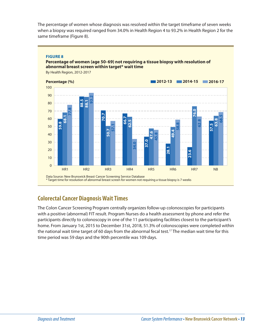The percentage of women whose diagnosis was resolved within the target timeframe of seven weeks when a biopsy was required ranged from 34.0% in Health Region 4 to 93.2% in Health Region 2 for the same timeframe (Figure 8).

#### **FIGURE 8**

#### **Percentage of women (age 50-69) not requiring a tissue biopsy with resolution of abnormal breast screen within target\* wait time**

By Health Region, 2012-2017



#### **Colorectal Cancer Diagnosis Wait Times**

The Colon Cancer Screening Program centrally organizes follow-up colonoscopies for participants with a positive (abnormal) FIT result. Program Nurses do a health assessment by phone and refer the participants directly to colonoscopy in one of the 11 participating facilities closest to the participant's home. From January 1st, 2015 to December 31st, 2018, 51.3% of colonoscopies were completed within the national wait time target of 60 days from the abnormal fecal test.<sup>17</sup> The median wait time for this time period was 59 days and the 90th percentile was 109 days.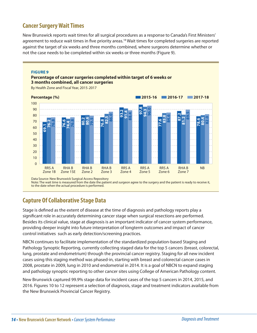### **Cancer Surgery Wait Times**

New Brunswick reports wait times for all surgical procedures as a response to Canada's First Ministers' agreement to reduce wait times in five priority areas.<sup>18</sup> Wait times for completed surgeries are reported against the target of six weeks and three months combined, where surgeons determine whether or not the case needs to be completed within six weeks or three months (Figure 9).



Data Source: New Brunswick Surgical Access Repository Note: The wait time is measured from the date the patient and surgeon agree to the surgery and the patient is ready to receive it, to the date when the actual procedure is performed.

#### **Capture Of Collaborative Stage Data**

Stage is defined as the extent of disease at the time of diagnosis and pathology reports play a significant role in accurately determining cancer stage when surgical resections are performed. Besides its clinical value, stage at diagnosis is an important indicator of cancer system performance, providing deeper insight into future interpretation of longterm outcomes and impact of cancer control initiatives such as early detection/screening practices.

NBCN continues to facilitate implementation of the standardized population-based Staging and Pathology Synoptic Reporting, currently collecting staged data for the top 5 cancers (breast, colorectal, lung, prostate and endometrium) through the provincial cancer registry. Staging for all new incident cases using this staging method was phased-in, starting with breast and colorectal cancer cases in 2008, prostate in 2009, lung in 2010 and endometrial in 2014. It is a goal of NBCN to expand staging and pathology synoptic reporting to other cancer sites using College of American Pathology content.

New Brunswick captured 99.9% stage data for incident cases of the top 5 cancers in 2014, 2015, and 2016. Figures 10 to 12 represent a selection of diagnosis, stage and treatment indicators available from the New Brunswick Provincial Cancer Registry.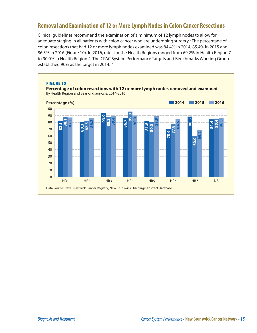### **Removal and Examination of 12 or More Lymph Nodes in Colon Cancer Resections**

Clinical guidelines recommend the examination of a minimum of 12 lymph nodes to allow for adequate staging in all patients with colon cancer who are undergoing surgery.<sup>6</sup> The percentage of colon resections that had 12 or more lymph nodes examined was 84.4% in 2014, 85.4% in 2015 and 86.5% in 2016 (Figure 10). In 2016, rates for the Health Regions ranged from 69.2% in Health Region 7 to 90.0% in Health Region 4. The CPAC System Performance Targets and Benchmarks Working Group established 90% as the target in 2014.19

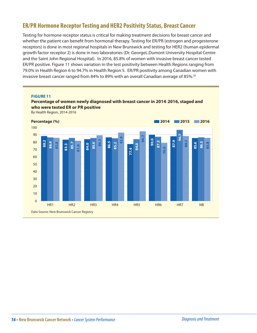### **ER/PR Hormone Receptor Testing and HER2 Positivity Status, Breast Cancer**

Testing for hormone receptor status is critical for making treatment decisions for breast cancer and whether the patient can benefit from hormonal therapy. Testing for ER/PR (estrogen and progesterone receptors) is done in most regional hospitals in New Brunswick and testing for HER2 (human epidermal growth factor receptor 2) is done in two laboratories (Dr. GeorgeL.Dumont University Hospital Centre and the Saint John Regional Hospital). In 2016, 85.8% of women with invasive breast cancer tested ER/PR positive. Figure 11 shows variation in the test positivity between Health Regions ranging from 79.0% in Health Region 6 to 94.7% in Health Region 5. ER/PR positivity among Canadian women with invasive breast cancer ranged from 84% to 89% with an overall Canadian average of 85%.<sup>20</sup>

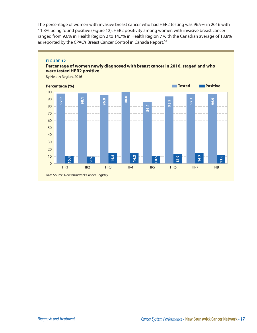The percentage of women with invasive breast cancer who had HER2 testing was 96.9% in 2016 with 11.8% being found positive (Figure 12). HER2 positivity among women with invasive breast cancer ranged from 9.6% in Health Region 2 to 14.7% in Health Region 7 with the Canadian average of 13.8% as reported by the CPAC's Breast Cancer Control in Canada Report.<sup>20</sup>



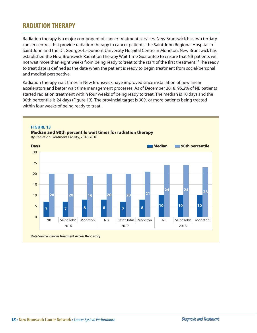### **RADIATION THERAPY**

Radiation therapy is a major component of cancer treatment services. New Brunswick has two tertiary cancer centres that provide radiation therapy to cancer patients: the Saint John Regional Hospital in Saint John and the Dr. Georges-L.-Dumont University Hospital Centre in Moncton. New Brunswick has established the New Brunswick Radiation Therapy Wait Time Guarantee to ensure that NB patients will not wait more than eight weeks from being ready to treat to the start of the first treatment.<sup>18</sup> The ready to treat date is defined as the date when the patient is ready to begin treatment from social/personal and medical perspective.

Radiation therapy wait times in New Brunswick have improved since installation of new linear accelerators and better wait time management processes. As of December 2018, 95.2% of NB patients started radiation treatment within four weeks of being ready to treat. The median is 10 days and the 90th percentile is 24 days (Figure 13). The provincial target is 90% or more patients being treated within four weeks of being ready to treat.







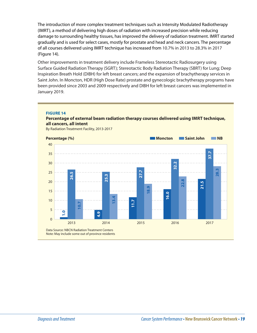The introduction of more complex treatment techniques such as Intensity Modulated Radiotherapy (IMRT), a method of delivering high doses of radiation with increased precision while reducing damage to surrounding healthy tissues, has improved the delivery of radiation treatment. IMRT started gradually and is used for select cases, mostly for prostate and head and neck cancers. The percentage of all courses delivered using IMRT technique has increased from 10.7% in 2013 to 28.3% in 2017 (Figure 14).

Other improvements in treatment delivery include Frameless Stereotactic Radiosurgery using Surface Guided Radiation Therapy (SGRT); Stereotactic Body Radiation Therapy (SBRT) for Lung; Deep Inspiration Breath Hold (DIBH) for left breast cancers; and the expansion of brachytherapy services in Saint John. In Moncton, HDR (High Dose Rate) prostate and gynecologic brachytherapy programs have been provided since 2003 and 2009 respectively and DIBH for left breast cancers was implemented in January 2019.

#### **FIGURE 14**

#### **Percentage of external beam radiation therapy courses delivered using IMRT technique, all cancers, all intent**

By Radiation Treatment Facility, 2013-2017

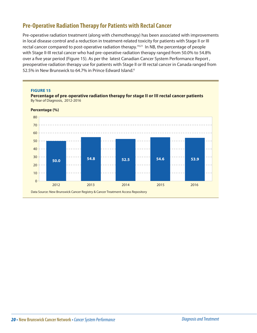### **Pre-Operative Radiation Therapy for Patients with Rectal Cancer**

Pre-operative radiation treatment (along with chemotherapy) has been associated with improvements in local disease control and a reduction in treatment-related toxicity for patients with Stage II or III rectal cancer compared to post-operative radiation therapy.<sup>19,21</sup> In NB, the percentage of people with Stage II-III rectal cancer who had pre-operative radiation therapy ranged from 50.0% to 54.8% over a five year period (Figure 15). As per the latest Canadian Cancer System Performance Report , preoperative radiation therapy use for patients with Stage II or III rectal cancer in Canada ranged from 52.5% in New Brunswick to 64.7% in Prince Edward Island.6

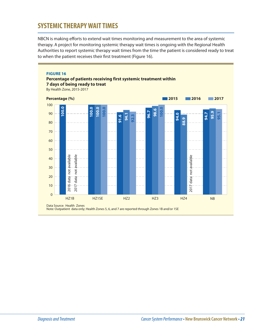### **SYSTEMIC THERAPY WAIT TIMES**

NBCN is making efforts to extend wait times monitoring and measurement to the area of systemic therapy. A project for monitoring systemic therapy wait times is ongoing with the Regional Health Authorities to report systemic therapy wait times from the time the patient is considered ready to treat to when the patient receives their first treatment (Figure 16).

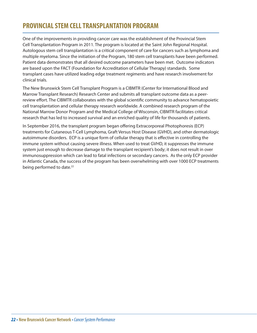### **PROVINCIAL STEM CELL TRANSPLANTATION PROGRAM**

One of the improvements in providing cancer care was the establishment of the Provincial Stem Cell Transplantation Program in 2011. The program is located at the Saint John Regional Hospital. Autologous stem cell transplantation is a critical component of care for cancers such as lymphoma and multiple myeloma. Since the initiation of the Program, 180 stem cell transplants have been performed. Patient data demonstrates that all desired outcome parameters have been met. Outcome indicators are based upon the FACT (Foundation for Accreditation of Cellular Therapy) standards. Some transplant cases have utilized leading edge treatment regiments and have research involvement for clinical trials.

The New Brunswick Stem Cell Transplant Program is a CIBMTR (Center for International Blood and Marrow Transplant Research) Research Center and submits all transplant outcome data as a peerreview effort. The CIBMTR collaborates with the global scientific community to advance hematopoietic cell transplantation and cellular therapy research worldwide. A combined research program of the National Marrow Donor Program and the Medical College of Wisconsin, CIBMTR facilitates critical research that has led to increased survival and an enriched quality of life for thousands of patients.

In September 2016, the transplant program began offering Extracorporeal Photophoresis (ECP) treatments for Cutaneous T-Cell Lymphoma, Graft Versus Host Disease (GVHD), and other dermatologic autoimmune disorders. ECP is a unique form of cellular therapy that is effective in controlling the immune system without causing severe illness. When used to treat GVHD, it suppresses the immune system just enough to decrease damage to the transplant recipient's body; it does not result in over immunosuppression which can lead to fatal infections or secondary cancers. As the only ECP provider in Atlantic Canada, the success of the program has been overwhelming with over 1000 ECP treatments being performed to date.<sup>22</sup>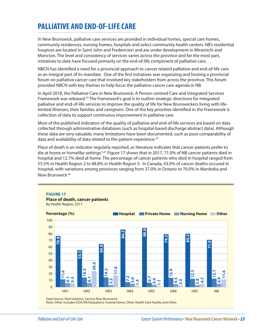## **PALLIATIVE AND END-OF-LIFE CARE**

In New Brunswick, palliative care services are provided in individual homes, special care homes, community residences, nursing homes, hospitals and select community health centers. NB's residential hospices are located in Saint John and Fredericton and are under development in Miramichi and Moncton. The level and consistency of services varies across the province and for the most part, initiatives to date have focused primarily on the end-of-life component of palliative care.

NBCN has identified a need for a provincial approach to cancer related palliative and end-of-life care as an integral part of its mandate. One of the first initiatives was organizing and hosting a provincial forum on palliative cancer care that involved key stakeholders from across the province. This forum provided NBCN with key themes to help focus the palliative cancer care agenda in NB.

In April 2018, the Palliative Care in New Brunswick: A Person-centred Care and Integrated Services Framework was released.23 The Framework's goal is to outline strategic directions for integrated palliative and end-of-life services to improve the quality of life for New Brunswickers living with lifelimited illnesses, their families and caregivers. One of the key priorities identified in the Framework is collection of data to support continuous improvement in palliatve care.

Most of the published indicators of the quality of palliative and end-of-life services are based on data collected through administrative databases (such as hospital-based discharge abstract data). Although these data are very valuable, many limitations have been documented, such as poor comparability of data and availability of data related to the patient experience. $24$ 

Place of death is an indicator regularly reported, as literature indicates that cancer patients prefer to die at home or homelike settings.<sup>6,25</sup> Figure 17 shows that in 2017, 71.0% of NB cancer patients died in hospital and 12.7% died at home. The percentage of cancer patients who died in hospital ranged from 55.5% in Health Region 2 to 88.8% in Health Region 5. In Canada, 43.0% of cancer deaths occured in hospital, with variations among provinces ranging from 37.0% in Ontario to 70.0% in Manitoba and New Brunswick.<sup>26</sup>



Data Source: Vital Statistics, Service New Brunswick<br>Note: Other includes DOA/ER/Outpatient, Funeral Home, Other Health Care Facility and Other.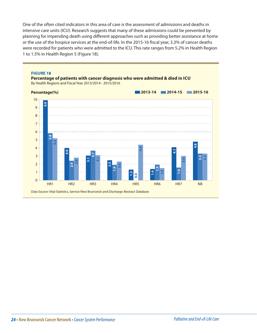One of the often cited indicators in this area of care is the assessment of admissions and deaths in intensive care units (ICU). Research suggests that many of these admissions could be prevented by planning for impending death using different approaches such as providing better assistance at home or the use of the hospice services at the end-of-life. In the 2015-16 fiscal year, 3.3% of cancer deaths were recorded for patients who were admitted to the ICU. This rate ranges from 5.2% in Health Region 1 to 1.5% in Health Region 5 (Figure 18).

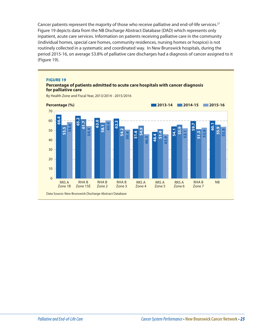Cancer patients represent the majority of those who receive palliative and end-of-life services.<sup>27</sup> Figure 19 depicts data from the NB Discharge Abstract Database (DAD) which represents only inpatient, acute care services. Information on patients receiving palliative care in the community (individual homes, special care homes, community residences, nursing homes or hospice) is not routinely collected in a systematic and coordinated way. In New Brunswick hospitals, during the period 2015-16, on average 53.8% of palliative care discharges had a diagnosis of cancer assigned to it (Figure 19).

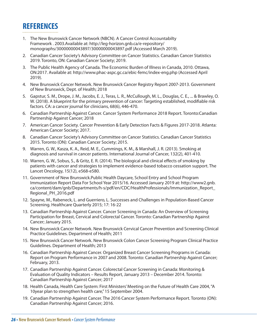## **REFERENCES**

1. The New Brunswick Cancer Network (NBCN). A Cancer Control Accountabilty Framework . 2003.Available at: http://leg-horizon.gnb.ca/e-repository/ monographs/30000000043897/30000000043897.pdf (Accessed March 2019).

- 2. Canadian Cancer Society's Advisory Committee on Cancer Statistics. Canadian Cancer Statistics 2019. Toronto, ON: Canadian Cancer Society; 2019.
- 3. The Public Health Agency of Canada. The Economic Burden of Illness in Canada, 2010. Ottawa, ON:2017. Available at: http://www.phac-aspc.gc.ca/ebic-femc/index-eng.php (Accessed April 2019).
- 4. New Brunswick Cancer Network. New Brunswick Cancer Registry Report 2007-2013. Government of New Brunswick, Dept. of Health; 2018
- 5. Gapstur, S. M., Drope, J. M., Jacobs, E. J., Teras, L. R., McCullough, M. L., Douglas, C. E., ... & Brawley, O. W. (2018). A blueprint for the primary prevention of cancer: Targeting established, modifiable risk factors. CA: a cancer journal for clinicians, 68(6), 446-470.
- 6. Canadian Partnership Against Cancer. Cancer System Performance 2018 Report. Toronto:Canadian Partnership Against Cancer; 2018
- 7. American Cancer Society. Cancer Prevention & Early Detection Facts & Figures 2017-2018. Atlanta: American Cancer Society; 2017.
- 8. Canadian Cancer Society's Advisory Committee on Cancer Statistics. Canadian Cancer Statistics 2015. Toronto (ON): Canadian Cancer Society; 2015.
- 9. Warren, G. W., Kasza, K. A., Reid, M. E., Cummings, K. M., & Marshall, J. R. (2013). Smoking at diagnosis and survival in cancer patients. International Journal of Cancer, 132(2), 401-410.
- 10. Warren, G. W., Sobus, S., & Gritz, E. R. (2014). The biological and clinical effects of smoking by patients with cancer and strategies to implement evidence-based tobacco cessation support. The Lancet Oncology, 15(12), e568-e580.
- 11. Government of New Brunswick.Public Health Daycare, School Entry and School Program Immunization Report Data For School Year 2015/16. Accessed January 2019 at: http://www2.gnb. ca/content/dam/gnb/Departments/h-s/pdf/en/CDC/HealthProfessionals/Immunization\_Report\_ Regional\_PH\_2016.pdf
- 12. Spayne, M., Rabeneck, L. and Guerriero, L. Successes and Challenges in Population-Based Cancer Screening. Healthcare Quarterly 2015; 17: 16-22
- 13. Canadian Partnership Against Cancer. Cancer Screening in Canada: An Overview of Screening Participation for Breast, Cervical and Colorectal Cancer. Toronto: Canadian Partnership Against Cancer; January 2015.
- 14. New Brunswick Cancer Network. New Brunswick Cervical Cancer Prevention and Screening Clinical Practice Guidelines. Department of Health; 2011
- 15. New Brunswick Cancer Network. New Brunswick Colon Cancer Screening Program Clinical Practice Guidelines. Department of Health; 2013
- 16. Canadian Partnership Against Cancer. Organized Breast Cancer Screening Programs in Canada: Report on Program Performance in 2007 and 2008. Toronto: Canadian Partnership Against Cancer; February, 2013.
- 17. Canadian Partnership Against Cancer. Colorectal Cancer Screening in Canada: Monitoring & Evaluation of Quality Indicators – Results Report, January 2013 – December 2014. Toronto: Canadian Partnership Against Cancer; 2017
- 18. Health Canada, Health Care System: First Ministers' Meeting on the Future of Health Care 2004, "A 10year plan to strengthen health care," 15 September 2004.
- 19. Canadian Partnership Against Cancer. The 2016 Cancer System Performance Report. Toronto (ON): Canadian Partnership Against Cancer; 2016.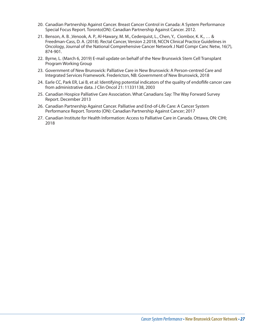- 20. Canadian Partnership Against Cancer. Breast Cancer Control in Canada: A System Performance Special Focus Report. Toronto(ON): Canadian Partnership Against Cancer. 2012.
- 21. Benson, A. B. ,Venook, A. P., Al-Hawary, M. M., Cederquist, L., Chen, Y., Ciombor, K. K., … & Freedman-Cass, D. A. (2018). Rectal Cancer, Version 2.2018, NCCN Clinical Practice Guidelines in Oncology, Journal of the National Comprehensive Cancer Network J Natl Compr Canc Netw, 16(7), 874-901.
- 22. Byrne, L. (March 6, 2019) E-mail update on behalf of the New Brunswick Stem Cell Transplant Program Working Group
- 23. Government of New Brunswick: Palliative Care in New Brunswick: A Person-centred Care and Integrated Services Framework. Fredericton, NB: Government of New Brunswick, 2018
- 24. Earle CC, Park ER, Lai B, et al: Identifying potential indicators of the quality of endoflife cancer care from administrative data. J Clin Oncol 21: 11331138, 2003
- 25. Canadian Hospice Palliative Care Association. What Canadians Say: The Way Forward Survey Report. December 2013
- 26. Canadian Partnership Against Cancer. Palliative and End-of-Life Care: A Cancer System Performance Report. Toronto (ON): Canadian Partnership Against Cancer; 2017
- 27. Canadian Institute for Health Information: Access to Palliative Care in Canada. Ottawa, ON: CIHI; 2018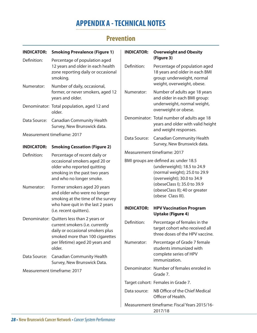## **APPENDIX A - TECHNICAL NOTES**

### **Prevention**

| <b>INDICATOR:</b>                                    | <b>Smoking Prevalence (Figure 1)</b>                                                                                                                                                              | <b>INDICATOR:</b>           | <b>Overweight and Obesity</b>                                                                                                                                                                                               |  |
|------------------------------------------------------|---------------------------------------------------------------------------------------------------------------------------------------------------------------------------------------------------|-----------------------------|-----------------------------------------------------------------------------------------------------------------------------------------------------------------------------------------------------------------------------|--|
| Definition:                                          | Percentage of population aged<br>12 years and older in each health<br>zone reporting daily or occasional<br>smoking.                                                                              | Definition:                 | (Figure 3)<br>Percentage of population aged<br>18 years and older in each BMI<br>group: underweight, normal<br>weight, overweight, obese.                                                                                   |  |
| Numerator:                                           | Number of daily, occasional,<br>former, or never smokers, aged 12<br>years and older.                                                                                                             |                             | Number of adults age 18 years<br>and older in each BMI group:<br>underweight, normal weight,<br>overweight or obese.                                                                                                        |  |
| Denominator: Total population, aged 12 and<br>older. |                                                                                                                                                                                                   |                             |                                                                                                                                                                                                                             |  |
| Data Source:                                         | <b>Canadian Community Health</b><br>Survey, New Brunswick data.                                                                                                                                   |                             | Denominator: Total number of adults age 18<br>years and older with valid height<br>and weight responses.                                                                                                                    |  |
|                                                      | Measurement timeframe: 2017                                                                                                                                                                       | Data Source:                | <b>Canadian Community Health</b><br>Survey, New Brunswick data.                                                                                                                                                             |  |
| <b>INDICATOR:</b>                                    | <b>Smoking Cessation (Figure 2)</b>                                                                                                                                                               |                             |                                                                                                                                                                                                                             |  |
| Definition:                                          | Percentage of recent daily or                                                                                                                                                                     | Measurement timeframe: 2017 |                                                                                                                                                                                                                             |  |
|                                                      | occasional smokers aged 20 or<br>older who reported quitting<br>smoking in the past two years<br>and who no longer smoke.                                                                         |                             | BMI groups are defined as: under 18.5<br>(underweight); 18.5 to 24.9<br>(normal weight); 25.0 to 29.9<br>(overweight); 30.0 to 34.9<br>(obeseClass I); 35.0 to 39.9<br>(obeseClass II); 40 or greater<br>(obese Class III). |  |
| Numerator:                                           | Former smokers aged 20 years<br>and older who were no longer<br>smoking at the time of the survey<br>who have quit in the last 2 years<br>(i.e. recent quitters).                                 |                             |                                                                                                                                                                                                                             |  |
|                                                      |                                                                                                                                                                                                   | <b>INDICATOR:</b>           | <b>HPV Vaccination Program</b><br><b>Uptake (Figure 4)</b>                                                                                                                                                                  |  |
|                                                      | Denominator: Quitters less than 2 years or<br>current smokers (i.e. currently<br>daily or occasional smokers plus<br>smoked more than 100 cigarettes<br>per lifetime) aged 20 years and<br>older. | Definition:                 | Percentage of females in the<br>target cohort who received all<br>three doses of the HPV vaccine.                                                                                                                           |  |
|                                                      |                                                                                                                                                                                                   | Numerator:                  | Percentage of Grade 7 female<br>students immunized with                                                                                                                                                                     |  |
|                                                      | Data Source: Canadian Community Health<br>Survey, New Brunswick Data.                                                                                                                             |                             | complete series of HPV<br>immunization.                                                                                                                                                                                     |  |
|                                                      | Measurement timeframe: 2017                                                                                                                                                                       |                             | Denominator: Number of females enroled in<br>Grade 7.                                                                                                                                                                       |  |
|                                                      |                                                                                                                                                                                                   |                             | Target cohort: Females in Grade 7.                                                                                                                                                                                          |  |
|                                                      |                                                                                                                                                                                                   | Data source:                | NB Office of the Chief Medical<br>Officer of Health.                                                                                                                                                                        |  |
|                                                      |                                                                                                                                                                                                   |                             | Measurement timeframe: Fiscal Years 2015/16-<br>2017/18                                                                                                                                                                     |  |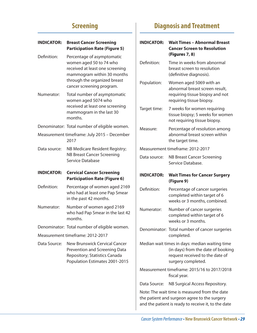## **Screening**

| <b>INDICATOR:</b> | <b>Breast Cancer Screening</b><br><b>Participation Rate (Figure 5)</b>                                                                                                              | IN             |
|-------------------|-------------------------------------------------------------------------------------------------------------------------------------------------------------------------------------|----------------|
| Definition:       | Percentage of asymptomatic<br>women aged 50 to 74 who<br>received at least one screening<br>mammogram within 30 months<br>through the organized breast<br>cancer screening program. | D١<br>Po       |
| Numerator:        | Total number of asymptomatic<br>women aged 5074 who<br>received at least one screening<br>mammogram in the last 30<br>months.                                                       | Ta             |
|                   | Denominator: Total number of eligible women.                                                                                                                                        | M              |
|                   | Measurement timeframe: July 2015 - December<br>2017                                                                                                                                 |                |
| Data source:      | NB Medicare Resident Registry;                                                                                                                                                      | M              |
|                   | <b>NB Breast Cancer Screening</b><br>Service Database                                                                                                                               | Di             |
| <b>INDICATOR:</b> | <b>Cervical Cancer Screening</b><br><b>Participation Rate (Figure 6)</b>                                                                                                            | IN             |
| Definition:       | Percentage of women aged 2169<br>who had at least one Pap Smear<br>in the past 42 months.                                                                                           | D <sub>t</sub> |
| Numerator:        | Number of women aged 2169<br>who had Pap Smear in the last 42<br>months.                                                                                                            | N              |
|                   | Denominator: Total number of eligible women.                                                                                                                                        | D١             |
|                   | Measurement timeframe: 2012-2017                                                                                                                                                    |                |
| Data Source:      | <b>New Brunswick Cervical Cancer</b><br><b>Prevention and Screening Data</b><br>Repository; Statistics Canada<br>Population Estimates 2001-2015                                     | M              |
|                   |                                                                                                                                                                                     | M              |
|                   |                                                                                                                                                                                     | Di             |
|                   |                                                                                                                                                                                     | N٥             |
|                   |                                                                                                                                                                                     | th<br>ar       |

## **Diagnosis and Treatment**

| <b>INDICATOR:</b>                                                                                                                                    | <b>Wait Times - Abnormal Breast</b><br><b>Cancer Screen to Resolution</b><br>(Figures 7, 8)                                                   |  |  |
|------------------------------------------------------------------------------------------------------------------------------------------------------|-----------------------------------------------------------------------------------------------------------------------------------------------|--|--|
| Definition:                                                                                                                                          | Time in weeks from abnormal<br>breast screen to resolution<br>(definitive diagnosis).                                                         |  |  |
| Population:                                                                                                                                          | Women aged 5069 with an<br>abnormal breast screen result,<br>requiring tissue biopsy and not<br>requiring tissue biopsy.                      |  |  |
| Target time:                                                                                                                                         | 7 weeks for women requiring<br>tissue biopsy; 5 weeks for women<br>not requiring tissue biopsy.                                               |  |  |
| Measure:                                                                                                                                             | Percentage of resolution among<br>abnormal breast screen within<br>the target time.                                                           |  |  |
|                                                                                                                                                      | Measurement timeframe: 2012-2017                                                                                                              |  |  |
| Data source:                                                                                                                                         | <b>NB Breast Cancer Screening</b><br>Service Database.                                                                                        |  |  |
| <b>INDICATOR:</b>                                                                                                                                    | <b>Wait Times for Cancer Surgery</b><br>(Figure 9)                                                                                            |  |  |
| Definition:                                                                                                                                          | Percentage of cancer surgeries<br>completed within target of 6<br>weeks or 3 months, combined.                                                |  |  |
| Numerator:                                                                                                                                           | Number of cancer surgeries<br>completed within target of 6<br>weeks or 3 months.                                                              |  |  |
|                                                                                                                                                      | Denominator: Total number of cancer surgeries<br>completed.                                                                                   |  |  |
|                                                                                                                                                      | Median wait times in days: median waiting time<br>(in days) from the date of booking<br>request received to the date of<br>surgery completed. |  |  |
|                                                                                                                                                      | Measurement timeframe: 2015/16 to 2017/2018<br>fiscal year.                                                                                   |  |  |
| Data Source:                                                                                                                                         | NB Surgical Access Repository.                                                                                                                |  |  |
| Note: The wait time is measured from the date<br>the patient and surgeon agree to the surgery<br>and the patient is ready to receive it, to the date |                                                                                                                                               |  |  |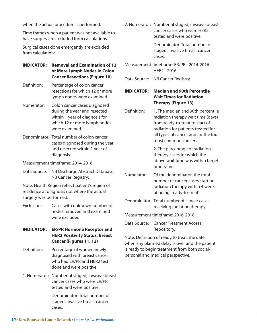when the actual procedure is performed.

Time frames when a patient was not available to have surgery are excluded from calculations.

Surgical cases done emergently are excluded from calculations.

- **INDICATOR: Removal and Examination of 12 or More Lymph Nodes in Colon Cancer Resections (Figure 10)**
- Definition: Percentage of colon cancer resections for which 12 or more lymph nodes were examined.
- Numerator: Colon cancer cases diagnosed during the year and resected within 1 year of diagnosis for which 12 or more lymph nodes were examined.
- Denominator: Total number of colon cancer cases diagnosed during the year and resected within 1 year of diagnosis.
- Measurement timeframe: 2014-2016
- Data Source: NB Discharge Abstract Database; NB Cancer Registry;

Note: Health Region reflect patient's region of residence at diagnosis not where the actual surgery was performed.

- Exclusions: Cases with unknown number of nodes removed and examined were excluded.
- **INDICATOR: ER/PR Hormone Receptor and HER2 Positivity Status, Breast Cancer (Figures 11, 12)**
- Definition: Percentage of women newly diagnosed with breast cancer who had ER/PR and HER2 test done and were positive.
- 1. Numerator: Number of staged, invasive breast cancer cases who were ER/PR tested and were positive.

Denominator: Total number of staged, invasive breast cancer cases.

2. Numerator: Number of staged, invasive breast cancer cases who were HER2 tested and were positive.

> Denominator: Total number of staged, invasive breast cancer cases.

- Measurement timeframe: ER/PR 2014-2016 HER2 - 2016
- Data Source: NB Cancer Registry.

#### **INDICATOR: Median and 90th Percentile Wait Times for Radiation Therapy (Figure 13)**

Definition: 1. The median and 90th percentile radiation therapy wait time (days) from ready-to-treat to start of radiation for patients treated for all types of cancer and for the four most common cancers.

> 2. The percentage of radiation therapy cases for which the above wait time was within target timeframes

- Numerator: Of the denominator, the total number of cancer cases starting radiation therapy within 4 weeks of being 'ready-to-treat'
- Denominator: Total number of cancer cases receiving radiation therapy

Measurement timeframe: 2016-2018

Data Source: Cancer Treatment Access Repository.

Note: Definition of ready to treat: the date when any planned delay is over and the patient is ready to begin treatment from both social/ personal and medical perspective.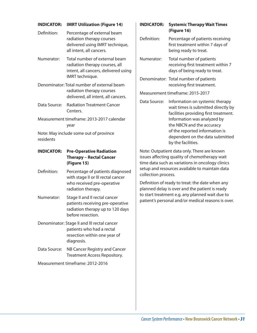#### **INDICATOR: IMRT Utilization (Figure 14)**

| Percentage of external beam     |
|---------------------------------|
| radiation therapy courses       |
| delivered using IMRT technique, |
| all intent, all cancers.        |
|                                 |

- Numerator: Total number of external beam radiation therapy courses, all intent, all cancers, delivered using IMRT technique.
- Denominator: Total number of external beam radiation therapy courses delivered, all intent, all cancers.
- Data Source: Radiation Treatment Cancer Centers.
- Measurement timeframe: 2013-2017 calendar year

Note: May include some out of province residents

#### **INDICATOR: Pre-Operative Radiation Therapy – Rectal Cancer (Figure 15)**

- Definition: Percentage of patients diagnosed with stage II or III rectal cancer who received pre-operative radiation therapy.
- Numerator: Stage II and II rectal cancer patients receiving pre-operative radiation therapy up to 120 days before resection.
- Denominator: Stage II and III rectal cancer patients who had a rectal resection within one year of diagnosis.
- Data Source: NB Cancer Registry and Cancer Treatment Access Repository.

Measurement timeframe: 2012-2016

#### **INDICATOR: Systemic Therapy Wait Times (Figure 16)**

| Definition:                      |              | Percentage of patients receiving<br>first treatment within 7 days of<br>being ready to treat.                                                                                                                                                                                                                      |  |  |
|----------------------------------|--------------|--------------------------------------------------------------------------------------------------------------------------------------------------------------------------------------------------------------------------------------------------------------------------------------------------------------------|--|--|
| Numerator:                       |              | Total number of patients<br>receiving first treatment within 7<br>days of being ready to treat.                                                                                                                                                                                                                    |  |  |
|                                  |              | Denominator: Total number of patients<br>receiving first treatment.                                                                                                                                                                                                                                                |  |  |
| Measurement timeframe: 2015-2017 |              |                                                                                                                                                                                                                                                                                                                    |  |  |
|                                  | Data Source: | Information on systemic therapy<br>wait times is submitted directly by<br>facilities providing first treatment.<br>Information was analyzed by<br>$\mathsf{L}\mathsf{L}$ and $\mathsf{N}$ $\mathsf{D}$ and $\mathsf{L}\mathsf{L}$ and $\mathsf{L}\mathsf{L}$ and $\mathsf{L}\mathsf{L}$ and $\mathsf{L}\mathsf{L}$ |  |  |

the NBCN and the accuracy of the reported information is dependent on the data submitted by the facilities.

Note: Outpatient data only. There are known issues affecting quality of chemotherapy wait time data such as variations in oncology clinics setup and resources available to maintain data collection process.

Definition of ready to treat: the date when any planned delay is over and the patient is ready to start treatment e.g. any planned wait due to patient's personal and/or medical reasons is over.